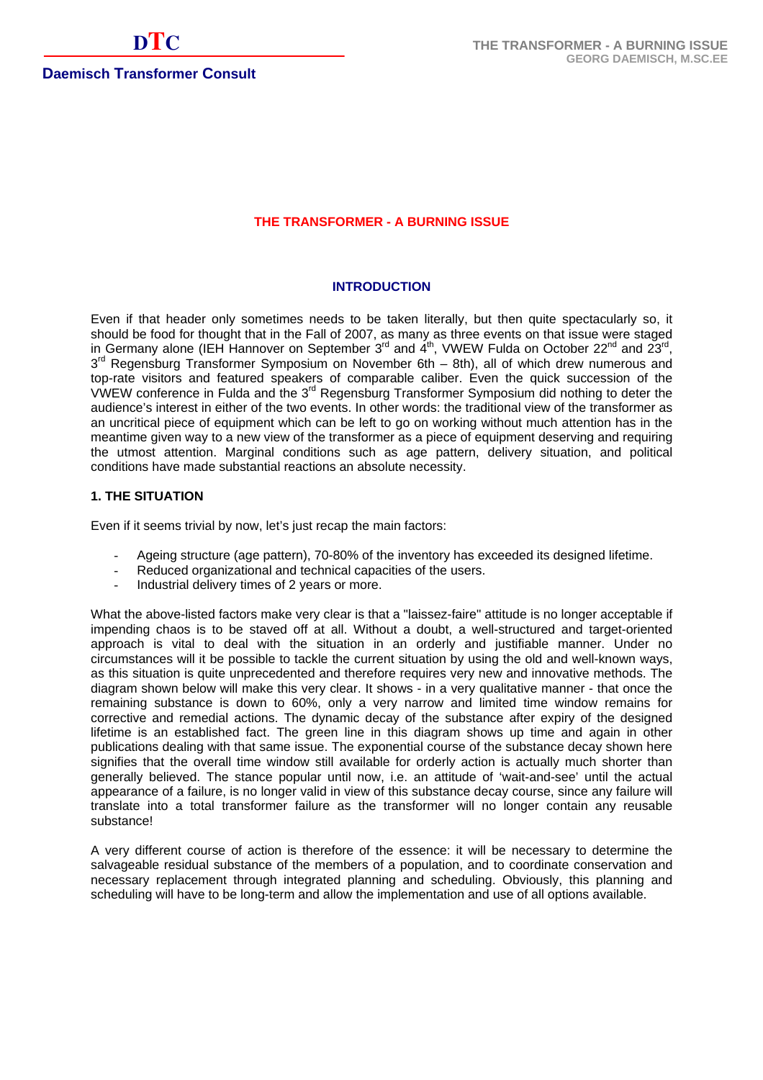# **THE TRANSFORMER - A BURNING ISSUE**

#### **INTRODUCTION**

Even if that header only sometimes needs to be taken literally, but then quite spectacularly so, it should be food for thought that in the Fall of 2007, as many as three events on that issue were staged in Germany alone (IEH Hannover on September  $3^{rd}$  and  $4^{th}$ , VWEW Fulda on October 22<sup>nd</sup> and 23<sup>rd</sup>,  $3<sup>rd</sup>$  Regensburg Transformer Symposium on November 6th – 8th), all of which drew numerous and top-rate visitors and featured speakers of comparable caliber. Even the quick succession of the VWEW conference in Fulda and the 3<sup>rd</sup> Regensburg Transformer Symposium did nothing to deter the audience's interest in either of the two events. In other words: the traditional view of the transformer as an uncritical piece of equipment which can be left to go on working without much attention has in the meantime given way to a new view of the transformer as a piece of equipment deserving and requiring the utmost attention. Marginal conditions such as age pattern, delivery situation, and political conditions have made substantial reactions an absolute necessity.

#### **1. THE SITUATION**

Even if it seems trivial by now, let's just recap the main factors:

- Ageing structure (age pattern), 70-80% of the inventory has exceeded its designed lifetime.
- Reduced organizational and technical capacities of the users.
- Industrial delivery times of 2 years or more.

What the above-listed factors make very clear is that a "laissez-faire" attitude is no longer acceptable if impending chaos is to be staved off at all. Without a doubt, a well-structured and target-oriented approach is vital to deal with the situation in an orderly and justifiable manner. Under no circumstances will it be possible to tackle the current situation by using the old and well-known ways, as this situation is quite unprecedented and therefore requires very new and innovative methods. The diagram shown below will make this very clear. It shows - in a very qualitative manner - that once the remaining substance is down to 60%, only a very narrow and limited time window remains for corrective and remedial actions. The dynamic decay of the substance after expiry of the designed lifetime is an established fact. The green line in this diagram shows up time and again in other publications dealing with that same issue. The exponential course of the substance decay shown here signifies that the overall time window still available for orderly action is actually much shorter than generally believed. The stance popular until now, i.e. an attitude of 'wait-and-see' until the actual appearance of a failure, is no longer valid in view of this substance decay course, since any failure will translate into a total transformer failure as the transformer will no longer contain any reusable substance!

A very different course of action is therefore of the essence: it will be necessary to determine the salvageable residual substance of the members of a population, and to coordinate conservation and necessary replacement through integrated planning and scheduling. Obviously, this planning and scheduling will have to be long-term and allow the implementation and use of all options available.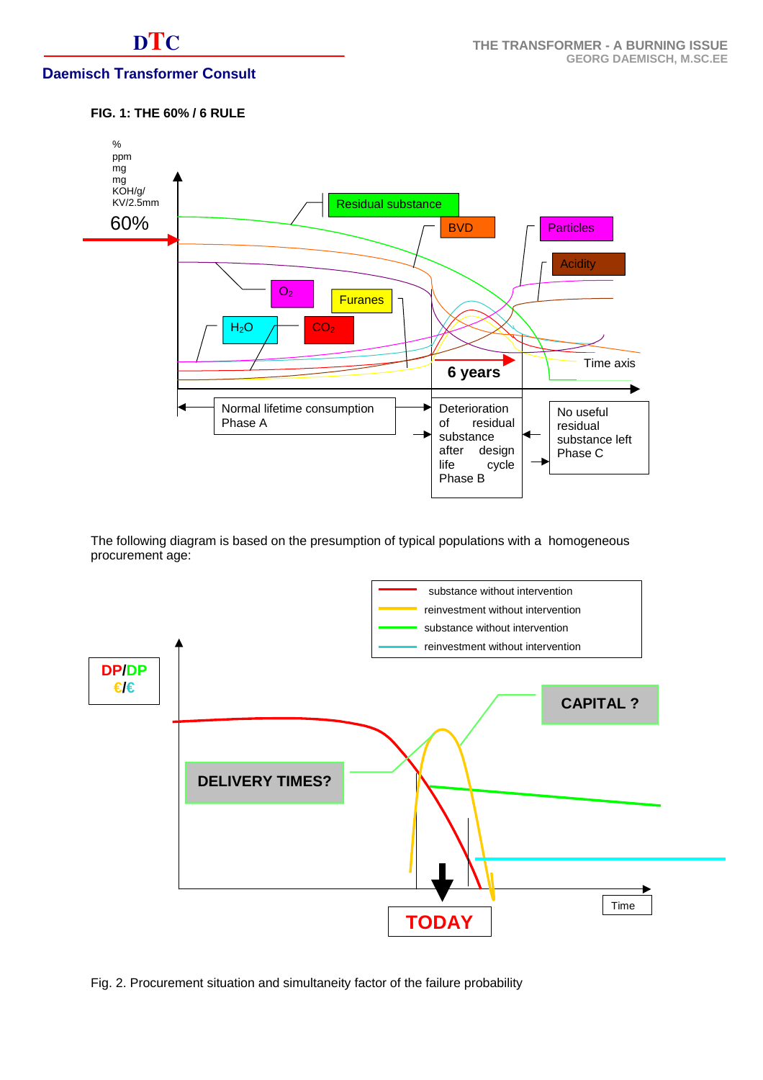# **DTC**

# **Daemisch Transformer Consult**

# **FIG. 1: THE 60% / 6 RULE**



The following diagram is based on the presumption of typical populations with a homogeneous procurement age:



Fig. 2. Procurement situation and simultaneity factor of the failure probability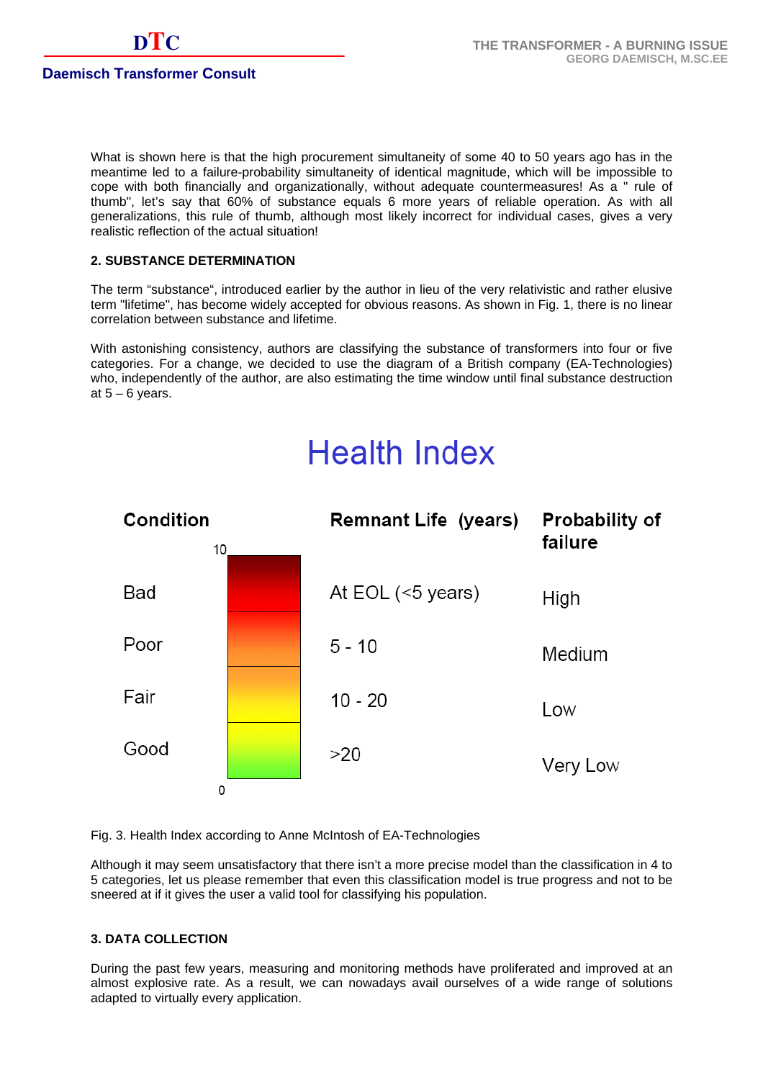What is shown here is that the high procurement simultaneity of some 40 to 50 years ago has in the meantime led to a failure-probability simultaneity of identical magnitude, which will be impossible to cope with both financially and organizationally, without adequate countermeasures! As a " rule of thumb", let's say that 60% of substance equals 6 more years of reliable operation. As with all generalizations, this rule of thumb, although most likely incorrect for individual cases, gives a very realistic reflection of the actual situation!

# **2. SUBSTANCE DETERMINATION**

The term "substance", introduced earlier by the author in lieu of the very relativistic and rather elusive term "lifetime", has become widely accepted for obvious reasons. As shown in Fig. 1, there is no linear correlation between substance and lifetime.

With astonishing consistency, authors are classifying the substance of transformers into four or five categories. For a change, we decided to use the diagram of a British company (EA-Technologies) who, independently of the author, are also estimating the time window until final substance destruction at  $5 - 6$  years.

# **Health Index**



Fig. 3. Health Index according to Anne McIntosh of EA-Technologies

Although it may seem unsatisfactory that there isn't a more precise model than the classification in 4 to 5 categories, let us please remember that even this classification model is true progress and not to be sneered at if it gives the user a valid tool for classifying his population.

# **3. DATA COLLECTION**

During the past few years, measuring and monitoring methods have proliferated and improved at an almost explosive rate. As a result, we can nowadays avail ourselves of a wide range of solutions adapted to virtually every application.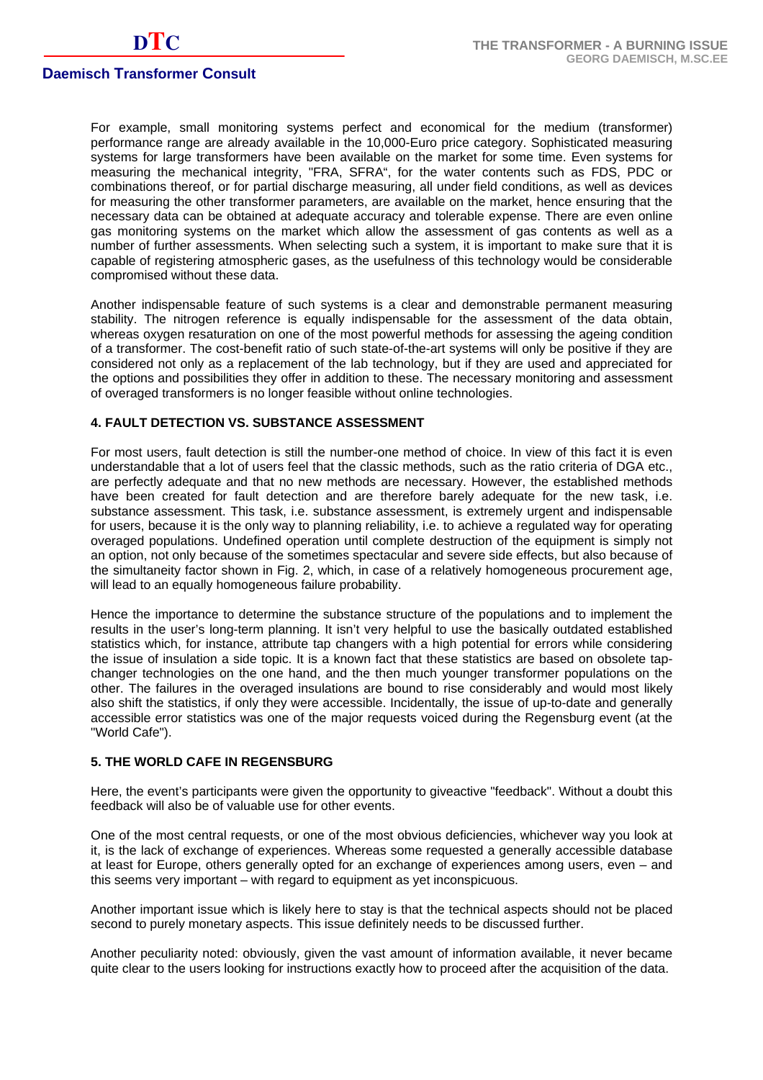For example, small monitoring systems perfect and economical for the medium (transformer) performance range are already available in the 10,000-Euro price category. Sophisticated measuring systems for large transformers have been available on the market for some time. Even systems for measuring the mechanical integrity, "FRA, SFRA", for the water contents such as FDS, PDC or combinations thereof, or for partial discharge measuring, all under field conditions, as well as devices for measuring the other transformer parameters, are available on the market, hence ensuring that the necessary data can be obtained at adequate accuracy and tolerable expense. There are even online gas monitoring systems on the market which allow the assessment of gas contents as well as a number of further assessments. When selecting such a system, it is important to make sure that it is capable of registering atmospheric gases, as the usefulness of this technology would be considerable compromised without these data.

Another indispensable feature of such systems is a clear and demonstrable permanent measuring stability. The nitrogen reference is equally indispensable for the assessment of the data obtain, whereas oxygen resaturation on one of the most powerful methods for assessing the ageing condition of a transformer. The cost-benefit ratio of such state-of-the-art systems will only be positive if they are considered not only as a replacement of the lab technology, but if they are used and appreciated for the options and possibilities they offer in addition to these. The necessary monitoring and assessment of overaged transformers is no longer feasible without online technologies.

# **4. FAULT DETECTION VS. SUBSTANCE ASSESSMENT**

For most users, fault detection is still the number-one method of choice. In view of this fact it is even understandable that a lot of users feel that the classic methods, such as the ratio criteria of DGA etc., are perfectly adequate and that no new methods are necessary. However, the established methods have been created for fault detection and are therefore barely adequate for the new task, i.e. substance assessment. This task, i.e. substance assessment, is extremely urgent and indispensable for users, because it is the only way to planning reliability, i.e. to achieve a regulated way for operating overaged populations. Undefined operation until complete destruction of the equipment is simply not an option, not only because of the sometimes spectacular and severe side effects, but also because of the simultaneity factor shown in Fig. 2, which, in case of a relatively homogeneous procurement age, will lead to an equally homogeneous failure probability.

Hence the importance to determine the substance structure of the populations and to implement the results in the user's long-term planning. It isn't very helpful to use the basically outdated established statistics which, for instance, attribute tap changers with a high potential for errors while considering the issue of insulation a side topic. It is a known fact that these statistics are based on obsolete tapchanger technologies on the one hand, and the then much younger transformer populations on the other. The failures in the overaged insulations are bound to rise considerably and would most likely also shift the statistics, if only they were accessible. Incidentally, the issue of up-to-date and generally accessible error statistics was one of the major requests voiced during the Regensburg event (at the "World Cafe").

#### **5. THE WORLD CAFE IN REGENSBURG**

Here, the event's participants were given the opportunity to giveactive "feedback". Without a doubt this feedback will also be of valuable use for other events.

One of the most central requests, or one of the most obvious deficiencies, whichever way you look at it, is the lack of exchange of experiences. Whereas some requested a generally accessible database at least for Europe, others generally opted for an exchange of experiences among users, even – and this seems very important – with regard to equipment as yet inconspicuous.

Another important issue which is likely here to stay is that the technical aspects should not be placed second to purely monetary aspects. This issue definitely needs to be discussed further.

Another peculiarity noted: obviously, given the vast amount of information available, it never became quite clear to the users looking for instructions exactly how to proceed after the acquisition of the data.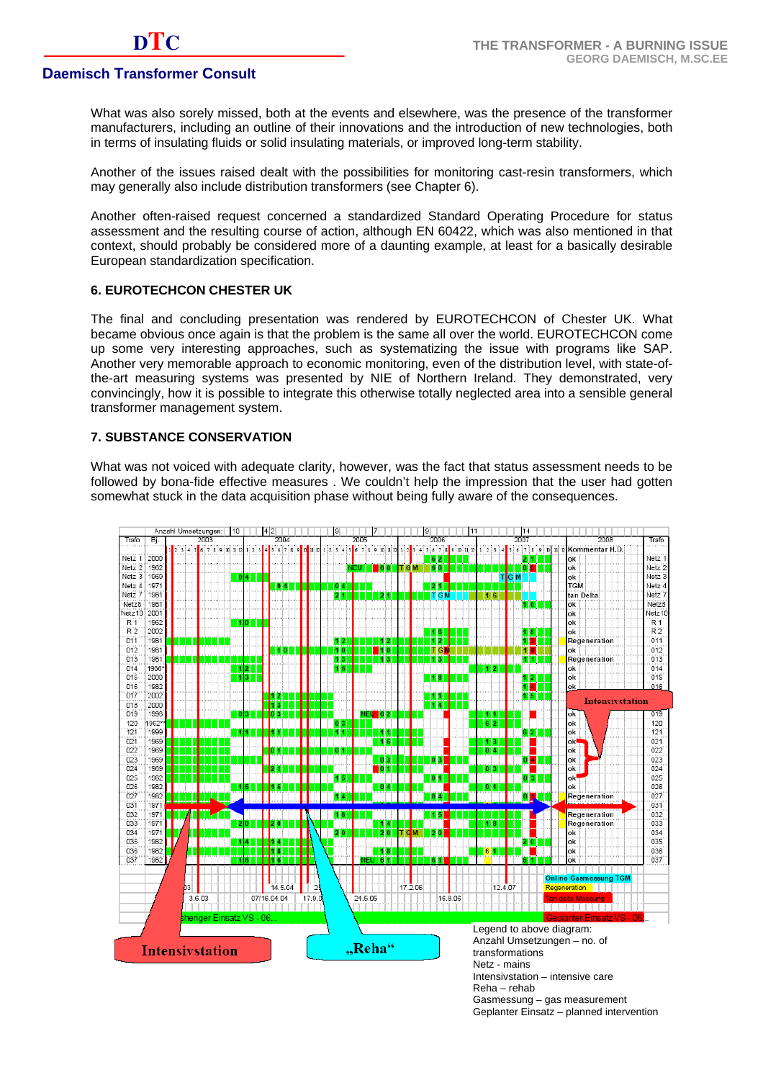What was also sorely missed, both at the events and elsewhere, was the presence of the transformer manufacturers, including an outline of their innovations and the introduction of new technologies, both in terms of insulating fluids or solid insulating materials, or improved long-term stability.

Another of the issues raised dealt with the possibilities for monitoring cast-resin transformers, which may generally also include distribution transformers (see Chapter 6).

Another often-raised request concerned a standardized Standard Operating Procedure for status assessment and the resulting course of action, although EN 60422, which was also mentioned in that context, should probably be considered more of a daunting example, at least for a basically desirable European standardization specification.

#### **6. EUROTECHCON CHESTER UK**

The final and concluding presentation was rendered by EUROTECHCON of Chester UK. What became obvious once again is that the problem is the same all over the world. EUROTECHCON come up some very interesting approaches, such as systematizing the issue with programs like SAP. Another very memorable approach to economic monitoring, even of the distribution level, with state-ofthe-art measuring systems was presented by NIE of Northern Ireland. They demonstrated, very convincingly, how it is possible to integrate this otherwise totally neglected area into a sensible general transformer management system.

# **7. SUBSTANCE CONSERVATION**

What was not voiced with adequate clarity, however, was the fact that status assessment needs to be followed by bona-fide effective measures . We couldn't help the impression that the user had gotten somewhat stuck in the data acquisition phase without being fully aware of the consequences.



Reha – rehab

Gasmessung – gas measurement Geplanter Einsatz – planned intervention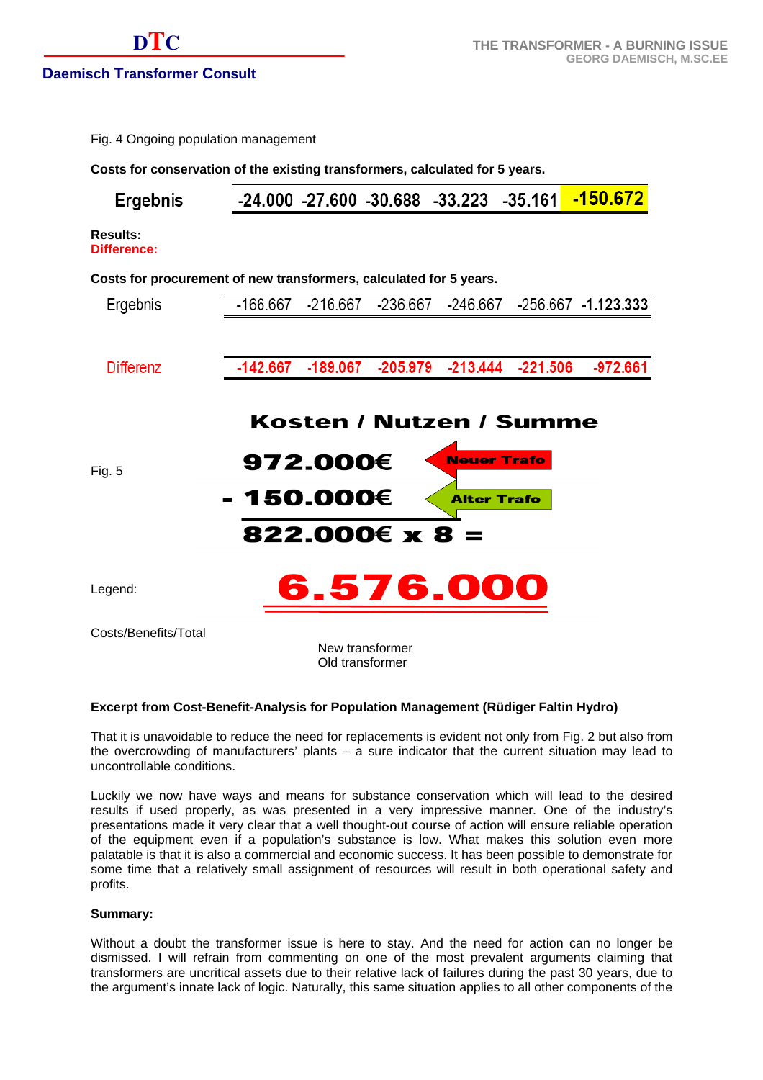|  | Fig. 4 Ongoing population management |
|--|--------------------------------------|
|  |                                      |

**Costs for conservation of the existing transformers, calculated for 5 years.** 

|--|

**Results: Difference:** 

#### **Costs for procurement of new transformers, calculated for 5 years.**

| Ergebnis             |            |                                    |                       |                                                                     | -166.667 -216.667 -236.667 -246.667 -256.667 -1.123.333 |
|----------------------|------------|------------------------------------|-----------------------|---------------------------------------------------------------------|---------------------------------------------------------|
|                      |            |                                    |                       |                                                                     |                                                         |
| Differenz            | -142.667   |                                    |                       | -189.067 -205.979 -213.444 -221.506                                 | -972.661                                                |
| Fig. 5               | - 150.000€ | 972.000€                           | $822.000€ \times 8 =$ | Kosten / Nutzen / Summe<br><b>Neuer Trafo</b><br><b>Alter Trafo</b> |                                                         |
| Legend:              |            |                                    |                       | 6.576.000                                                           |                                                         |
| Costs/Benefits/Total |            | New transformer<br>Old transformer |                       |                                                                     |                                                         |

#### **Excerpt from Cost-Benefit-Analysis for Population Management (Rüdiger Faltin Hydro)**

That it is unavoidable to reduce the need for replacements is evident not only from Fig. 2 but also from the overcrowding of manufacturers' plants – a sure indicator that the current situation may lead to uncontrollable conditions.

Luckily we now have ways and means for substance conservation which will lead to the desired results if used properly, as was presented in a very impressive manner. One of the industry's presentations made it very clear that a well thought-out course of action will ensure reliable operation of the equipment even if a population's substance is low. What makes this solution even more palatable is that it is also a commercial and economic success. It has been possible to demonstrate for some time that a relatively small assignment of resources will result in both operational safety and profits.

# **Summary:**

Without a doubt the transformer issue is here to stay. And the need for action can no longer be dismissed. I will refrain from commenting on one of the most prevalent arguments claiming that transformers are uncritical assets due to their relative lack of failures during the past 30 years, due to the argument's innate lack of logic. Naturally, this same situation applies to all other components of the